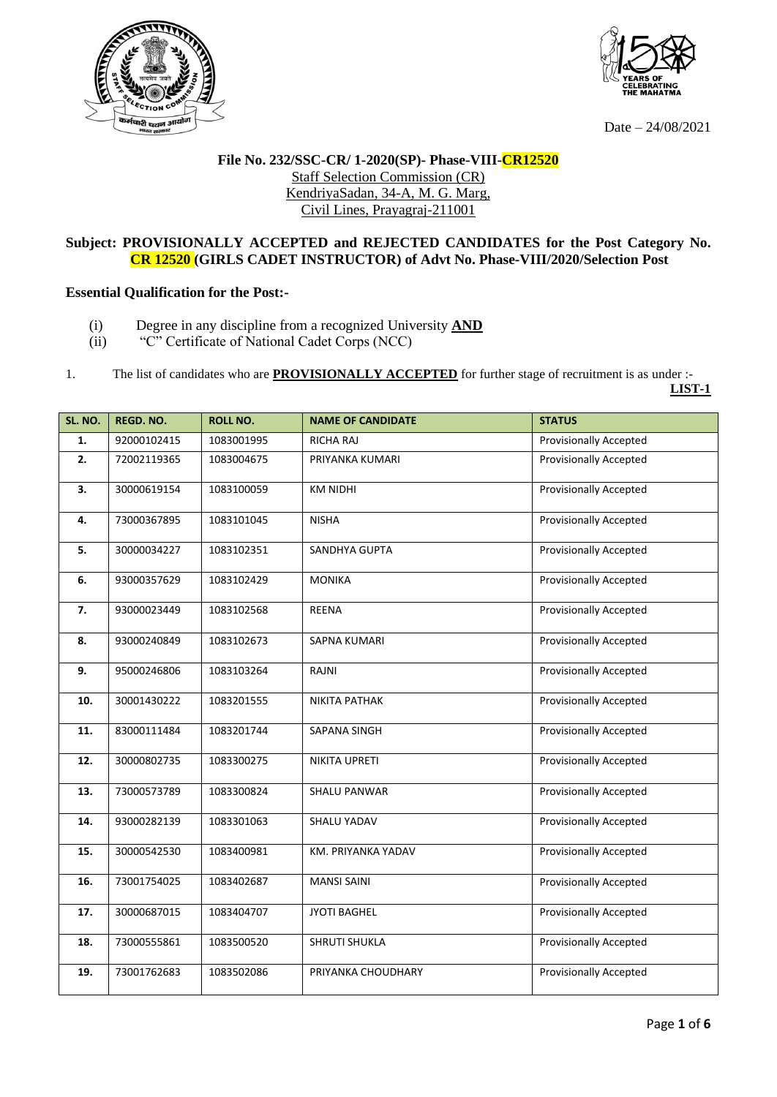



Date – 24/08/2021

**LIST-1**

## **File No. 232/SSC-CR/ 1-2020(SP)- Phase-VIII-CR12520** Staff Selection Commission (CR) KendriyaSadan, 34-A, M. G. Marg, Civil Lines, Prayagraj-211001

## **Subject: PROVISIONALLY ACCEPTED and REJECTED CANDIDATES for the Post Category No. CR 12520 (GIRLS CADET INSTRUCTOR) of Advt No. Phase-VIII/2020/Selection Post**

## **Essential Qualification for the Post:-**

- (i) Degree in any discipline from a recognized University **AND**
- (ii) "C" Certificate of National Cadet Corps (NCC)
- 1. The list of candidates who are **PROVISIONALLY ACCEPTED** for further stage of recruitment is as under :-

| SL. NO. | REGD. NO.   | <b>ROLL NO.</b> | <b>NAME OF CANDIDATE</b> | <b>STATUS</b>                 |
|---------|-------------|-----------------|--------------------------|-------------------------------|
| 1.      | 92000102415 | 1083001995      | RICHA RAJ                | <b>Provisionally Accepted</b> |
| 2.      | 72002119365 | 1083004675      | PRIYANKA KUMARI          | <b>Provisionally Accepted</b> |
| 3.      | 30000619154 | 1083100059      | <b>KM NIDHI</b>          | <b>Provisionally Accepted</b> |
| 4.      | 73000367895 | 1083101045      | <b>NISHA</b>             | <b>Provisionally Accepted</b> |
| 5.      | 30000034227 | 1083102351      | SANDHYA GUPTA            | <b>Provisionally Accepted</b> |
| 6.      | 93000357629 | 1083102429      | <b>MONIKA</b>            | <b>Provisionally Accepted</b> |
| 7.      | 93000023449 | 1083102568      | <b>REENA</b>             | <b>Provisionally Accepted</b> |
| 8.      | 93000240849 | 1083102673      | <b>SAPNA KUMARI</b>      | <b>Provisionally Accepted</b> |
| 9.      | 95000246806 | 1083103264      | RAJNI                    | <b>Provisionally Accepted</b> |
| 10.     | 30001430222 | 1083201555      | NIKITA PATHAK            | <b>Provisionally Accepted</b> |
| 11.     | 83000111484 | 1083201744      | SAPANA SINGH             | <b>Provisionally Accepted</b> |
| 12.     | 30000802735 | 1083300275      | NIKITA UPRETI            | <b>Provisionally Accepted</b> |
| 13.     | 73000573789 | 1083300824      | SHALU PANWAR             | <b>Provisionally Accepted</b> |
| 14.     | 93000282139 | 1083301063      | SHALU YADAV              | <b>Provisionally Accepted</b> |
| 15.     | 30000542530 | 1083400981      | KM. PRIYANKA YADAV       | <b>Provisionally Accepted</b> |
| 16.     | 73001754025 | 1083402687      | <b>MANSI SAINI</b>       | <b>Provisionally Accepted</b> |
| 17.     | 30000687015 | 1083404707      | <b>JYOTI BAGHEL</b>      | <b>Provisionally Accepted</b> |
| 18.     | 73000555861 | 1083500520      | <b>SHRUTI SHUKLA</b>     | <b>Provisionally Accepted</b> |
| 19.     | 73001762683 | 1083502086      | PRIYANKA CHOUDHARY       | <b>Provisionally Accepted</b> |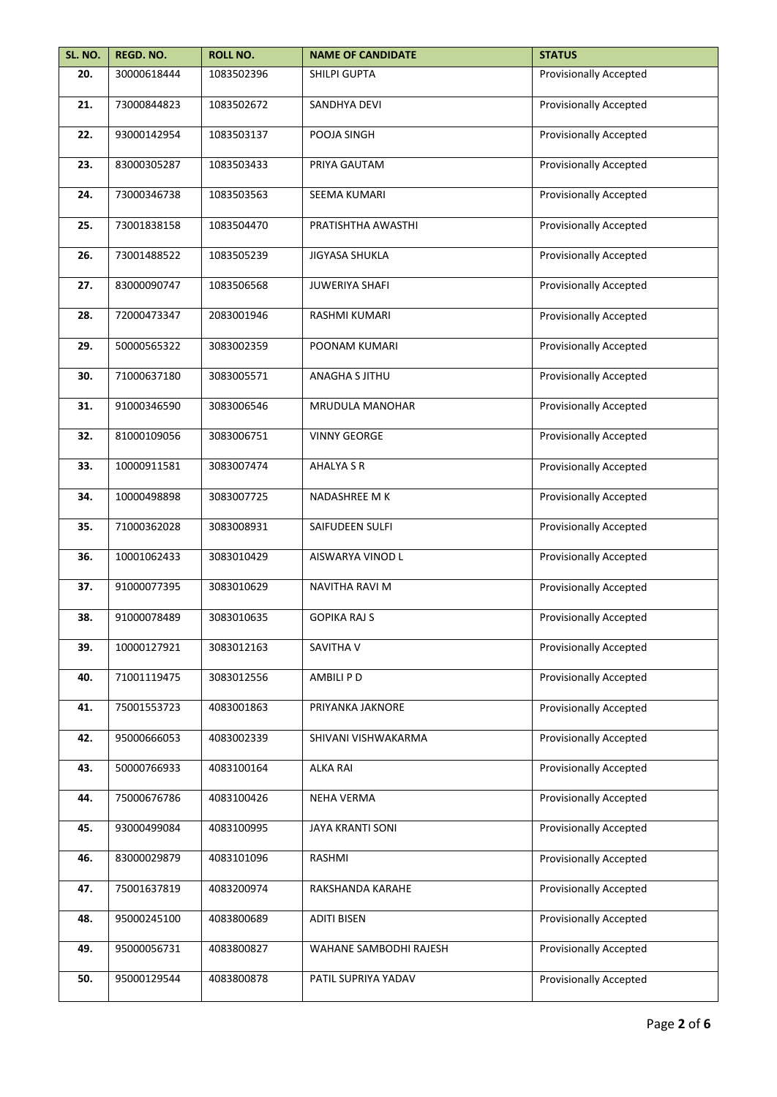| SL. NO. | REGD. NO.   | <b>ROLL NO.</b> | <b>NAME OF CANDIDATE</b> | <b>STATUS</b>                 |
|---------|-------------|-----------------|--------------------------|-------------------------------|
| 20.     | 30000618444 | 1083502396      | SHILPI GUPTA             | <b>Provisionally Accepted</b> |
| 21.     | 73000844823 | 1083502672      | SANDHYA DEVI             | <b>Provisionally Accepted</b> |
| 22.     | 93000142954 | 1083503137      | POOJA SINGH              | <b>Provisionally Accepted</b> |
| 23.     | 83000305287 | 1083503433      | PRIYA GAUTAM             | <b>Provisionally Accepted</b> |
| 24.     | 73000346738 | 1083503563      | SEEMA KUMARI             | <b>Provisionally Accepted</b> |
| 25.     | 73001838158 | 1083504470      | PRATISHTHA AWASTHI       | <b>Provisionally Accepted</b> |
| 26.     | 73001488522 | 1083505239      | <b>JIGYASA SHUKLA</b>    | <b>Provisionally Accepted</b> |
| 27.     | 83000090747 | 1083506568      | <b>JUWERIYA SHAFI</b>    | <b>Provisionally Accepted</b> |
| 28.     | 72000473347 | 2083001946      | RASHMI KUMARI            | <b>Provisionally Accepted</b> |
| 29.     | 50000565322 | 3083002359      | POONAM KUMARI            | <b>Provisionally Accepted</b> |
| 30.     | 71000637180 | 3083005571      | ANAGHA S JITHU           | <b>Provisionally Accepted</b> |
| 31.     | 91000346590 | 3083006546      | <b>MRUDULA MANOHAR</b>   | <b>Provisionally Accepted</b> |
| 32.     | 81000109056 | 3083006751      | <b>VINNY GEORGE</b>      | <b>Provisionally Accepted</b> |
| 33.     | 10000911581 | 3083007474      | <b>AHALYA S R</b>        | <b>Provisionally Accepted</b> |
| 34.     | 10000498898 | 3083007725      | NADASHREE M K            | <b>Provisionally Accepted</b> |
| 35.     | 71000362028 | 3083008931      | SAIFUDEEN SULFI          | <b>Provisionally Accepted</b> |
| 36.     | 10001062433 | 3083010429      | AISWARYA VINOD L         | Provisionally Accepted        |
| 37.     | 91000077395 | 3083010629      | NAVITHA RAVI M           | <b>Provisionally Accepted</b> |
| 38.     | 91000078489 | 3083010635      | <b>GOPIKA RAJ S</b>      | <b>Provisionally Accepted</b> |
| 39.     | 10000127921 | 3083012163      | SAVITHA V                | <b>Provisionally Accepted</b> |
| 40.     | 71001119475 | 3083012556      | AMBILI P D               | <b>Provisionally Accepted</b> |
| 41.     | 75001553723 | 4083001863      | PRIYANKA JAKNORE         | <b>Provisionally Accepted</b> |
| 42.     | 95000666053 | 4083002339      | SHIVANI VISHWAKARMA      | <b>Provisionally Accepted</b> |
| 43.     | 50000766933 | 4083100164      | <b>ALKA RAI</b>          | <b>Provisionally Accepted</b> |
| 44.     | 75000676786 | 4083100426      | <b>NEHA VERMA</b>        | <b>Provisionally Accepted</b> |
| 45.     | 93000499084 | 4083100995      | JAYA KRANTI SONI         | <b>Provisionally Accepted</b> |
| 46.     | 83000029879 | 4083101096      | RASHMI                   | <b>Provisionally Accepted</b> |
| 47.     | 75001637819 | 4083200974      | RAKSHANDA KARAHE         | <b>Provisionally Accepted</b> |
| 48.     | 95000245100 | 4083800689      | <b>ADITI BISEN</b>       | <b>Provisionally Accepted</b> |
| 49.     | 95000056731 | 4083800827      | WAHANE SAMBODHI RAJESH   | <b>Provisionally Accepted</b> |
| 50.     | 95000129544 | 4083800878      | PATIL SUPRIYA YADAV      | <b>Provisionally Accepted</b> |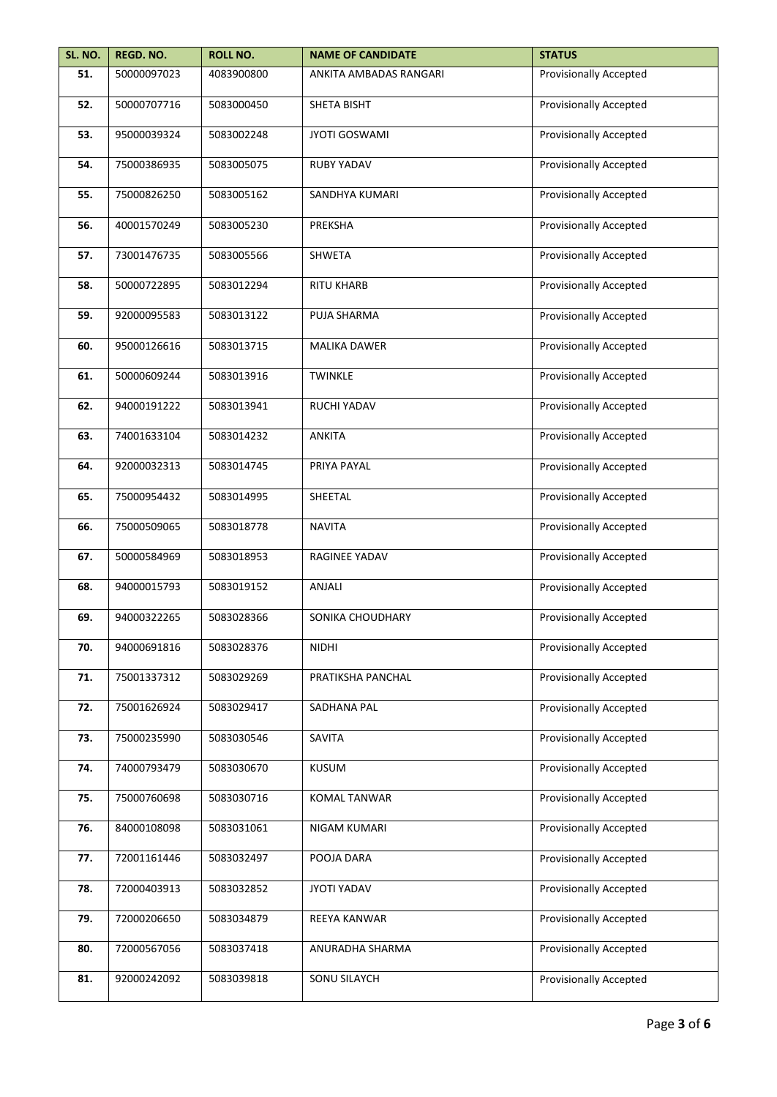| SL. NO. | REGD. NO.   | <b>ROLL NO.</b> | <b>NAME OF CANDIDATE</b> | <b>STATUS</b>                 |
|---------|-------------|-----------------|--------------------------|-------------------------------|
| 51.     | 50000097023 | 4083900800      | ANKITA AMBADAS RANGARI   | <b>Provisionally Accepted</b> |
| 52.     | 50000707716 | 5083000450      | <b>SHETA BISHT</b>       | <b>Provisionally Accepted</b> |
| 53.     | 95000039324 | 5083002248      | <b>JYOTI GOSWAMI</b>     | <b>Provisionally Accepted</b> |
| 54.     | 75000386935 | 5083005075      | <b>RUBY YADAV</b>        | <b>Provisionally Accepted</b> |
| 55.     | 75000826250 | 5083005162      | SANDHYA KUMARI           | <b>Provisionally Accepted</b> |
| 56.     | 40001570249 | 5083005230      | PREKSHA                  | <b>Provisionally Accepted</b> |
| 57.     | 73001476735 | 5083005566      | SHWETA                   | <b>Provisionally Accepted</b> |
| 58.     | 50000722895 | 5083012294      | <b>RITU KHARB</b>        | <b>Provisionally Accepted</b> |
| 59.     | 92000095583 | 5083013122      | PUJA SHARMA              | <b>Provisionally Accepted</b> |
| 60.     | 95000126616 | 5083013715      | <b>MALIKA DAWER</b>      | <b>Provisionally Accepted</b> |
| 61.     | 50000609244 | 5083013916      | <b>TWINKLE</b>           | <b>Provisionally Accepted</b> |
| 62.     | 94000191222 | 5083013941      | RUCHI YADAV              | <b>Provisionally Accepted</b> |
| 63.     | 74001633104 | 5083014232      | <b>ANKITA</b>            | <b>Provisionally Accepted</b> |
| 64.     | 92000032313 | 5083014745      | PRIYA PAYAL              | <b>Provisionally Accepted</b> |
| 65.     | 75000954432 | 5083014995      | SHEETAL                  | <b>Provisionally Accepted</b> |
| 66.     | 75000509065 | 5083018778      | <b>NAVITA</b>            | Provisionally Accepted        |
| 67.     | 50000584969 | 5083018953      | RAGINEE YADAV            | Provisionally Accepted        |
| 68.     | 94000015793 | 5083019152      | ANJALI                   | <b>Provisionally Accepted</b> |
| 69.     | 94000322265 | 5083028366      | SONIKA CHOUDHARY         | <b>Provisionally Accepted</b> |
| 70.     | 94000691816 | 5083028376      | <b>NIDHI</b>             | <b>Provisionally Accepted</b> |
| 71.     | 75001337312 | 5083029269      | PRATIKSHA PANCHAL        | <b>Provisionally Accepted</b> |
| 72.     | 75001626924 | 5083029417      | SADHANA PAL              | <b>Provisionally Accepted</b> |
| 73.     | 75000235990 | 5083030546      | SAVITA                   | <b>Provisionally Accepted</b> |
| 74.     | 74000793479 | 5083030670      | <b>KUSUM</b>             | <b>Provisionally Accepted</b> |
| 75.     | 75000760698 | 5083030716      | <b>KOMAL TANWAR</b>      | <b>Provisionally Accepted</b> |
| 76.     | 84000108098 | 5083031061      | NIGAM KUMARI             | <b>Provisionally Accepted</b> |
| 77.     | 72001161446 | 5083032497      | POOJA DARA               | <b>Provisionally Accepted</b> |
| 78.     | 72000403913 | 5083032852      | JYOTI YADAV              | <b>Provisionally Accepted</b> |
| 79.     | 72000206650 | 5083034879      | REEYA KANWAR             | <b>Provisionally Accepted</b> |
| 80.     | 72000567056 | 5083037418      | ANURADHA SHARMA          | <b>Provisionally Accepted</b> |
| 81.     | 92000242092 | 5083039818      | SONU SILAYCH             | <b>Provisionally Accepted</b> |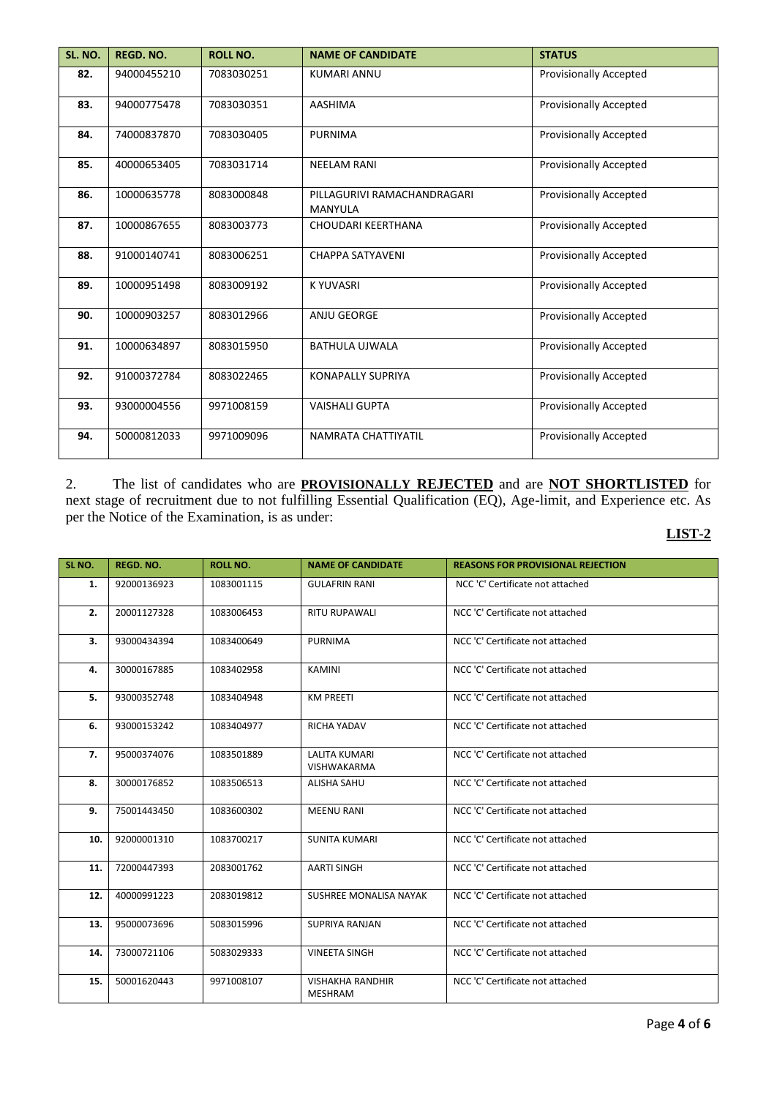| SL. NO. | <b>REGD. NO.</b> | <b>ROLL NO.</b> | <b>NAME OF CANDIDATE</b>                      | <b>STATUS</b>                 |
|---------|------------------|-----------------|-----------------------------------------------|-------------------------------|
| 82.     | 94000455210      | 7083030251      | <b>KUMARI ANNU</b>                            | <b>Provisionally Accepted</b> |
| 83.     | 94000775478      | 7083030351      | <b>AASHIMA</b>                                | <b>Provisionally Accepted</b> |
| 84.     | 74000837870      | 7083030405      | <b>PURNIMA</b>                                | <b>Provisionally Accepted</b> |
| 85.     | 40000653405      | 7083031714      | <b>NEELAM RANI</b>                            | <b>Provisionally Accepted</b> |
| 86.     | 10000635778      | 8083000848      | PILLAGURIVI RAMACHANDRAGARI<br><b>MANYULA</b> | <b>Provisionally Accepted</b> |
| 87.     | 10000867655      | 8083003773      | CHOUDARI KEERTHANA                            | <b>Provisionally Accepted</b> |
| 88.     | 91000140741      | 8083006251      | <b>CHAPPA SATYAVENI</b>                       | <b>Provisionally Accepted</b> |
| 89.     | 10000951498      | 8083009192      | <b>KYUVASRI</b>                               | <b>Provisionally Accepted</b> |
| 90.     | 10000903257      | 8083012966      | ANJU GEORGE                                   | <b>Provisionally Accepted</b> |
| 91.     | 10000634897      | 8083015950      | <b>BATHULA UJWALA</b>                         | <b>Provisionally Accepted</b> |
| 92.     | 91000372784      | 8083022465      | <b>KONAPALLY SUPRIYA</b>                      | <b>Provisionally Accepted</b> |
| 93.     | 93000004556      | 9971008159      | <b>VAISHALI GUPTA</b>                         | <b>Provisionally Accepted</b> |
| 94.     | 50000812033      | 9971009096      | NAMRATA CHATTIYATIL                           | Provisionally Accepted        |

2. The list of candidates who are **PROVISIONALLY REJECTED** and are **NOT SHORTLISTED** for next stage of recruitment due to not fulfilling Essential Qualification (EQ), Age-limit, and Experience etc. As per the Notice of the Examination, is as under:

## **LIST-2**

| SL NO. | <b>REGD. NO.</b> | <b>ROLL NO.</b> | <b>NAME OF CANDIDATE</b>                   | <b>REASONS FOR PROVISIONAL REJECTION</b> |
|--------|------------------|-----------------|--------------------------------------------|------------------------------------------|
| 1.     | 92000136923      | 1083001115      | <b>GULAFRIN RANI</b>                       | NCC 'C' Certificate not attached         |
| 2.     | 20001127328      | 1083006453      | <b>RITU RUPAWALI</b>                       | NCC 'C' Certificate not attached         |
| 3.     | 93000434394      | 1083400649      | <b>PURNIMA</b>                             | NCC 'C' Certificate not attached         |
| 4.     | 30000167885      | 1083402958      | <b>KAMINI</b>                              | NCC 'C' Certificate not attached         |
| 5.     | 93000352748      | 1083404948      | <b>KM PREETI</b>                           | NCC 'C' Certificate not attached         |
| 6.     | 93000153242      | 1083404977      | RICHA YADAV                                | NCC 'C' Certificate not attached         |
| 7.     | 95000374076      | 1083501889      | <b>LALITA KUMARI</b><br><b>VISHWAKARMA</b> | NCC 'C' Certificate not attached         |
| 8.     | 30000176852      | 1083506513      | <b>ALISHA SAHU</b>                         | NCC 'C' Certificate not attached         |
| 9.     | 75001443450      | 1083600302      | <b>MEENU RANI</b>                          | NCC 'C' Certificate not attached         |
| 10.    | 92000001310      | 1083700217      | <b>SUNITA KUMARI</b>                       | NCC 'C' Certificate not attached         |
| 11.    | 72000447393      | 2083001762      | AARTI SINGH                                | NCC 'C' Certificate not attached         |
| 12.    | 40000991223      | 2083019812      | SUSHREE MONALISA NAYAK                     | NCC 'C' Certificate not attached         |
| 13.    | 95000073696      | 5083015996      | SUPRIYA RANJAN                             | NCC 'C' Certificate not attached         |
| 14.    | 73000721106      | 5083029333      | <b>VINEETA SINGH</b>                       | NCC 'C' Certificate not attached         |
| 15.    | 50001620443      | 9971008107      | <b>VISHAKHA RANDHIR</b><br><b>MESHRAM</b>  | NCC 'C' Certificate not attached         |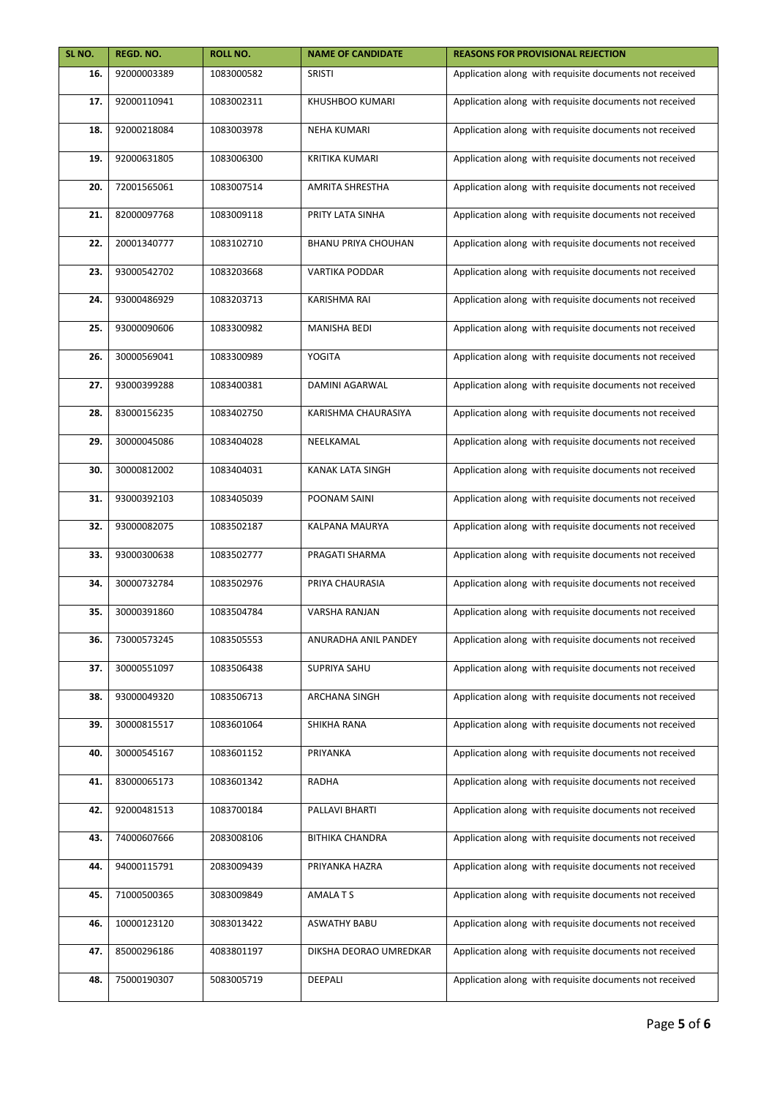| SL NO. | REGD. NO.   | <b>ROLL NO.</b> | <b>NAME OF CANDIDATE</b>   | <b>REASONS FOR PROVISIONAL REJECTION</b>                |
|--------|-------------|-----------------|----------------------------|---------------------------------------------------------|
| 16.    | 92000003389 | 1083000582      | <b>SRISTI</b>              | Application along with requisite documents not received |
| 17.    | 92000110941 | 1083002311      | KHUSHBOO KUMARI            | Application along with requisite documents not received |
| 18.    | 92000218084 | 1083003978      | <b>NEHA KUMARI</b>         | Application along with requisite documents not received |
| 19.    | 92000631805 | 1083006300      | <b>KRITIKA KUMARI</b>      | Application along with requisite documents not received |
| 20.    | 72001565061 | 1083007514      | <b>AMRITA SHRESTHA</b>     | Application along with requisite documents not received |
| 21.    | 82000097768 | 1083009118      | PRITY LATA SINHA           | Application along with requisite documents not received |
| 22.    | 20001340777 | 1083102710      | <b>BHANU PRIYA CHOUHAN</b> | Application along with requisite documents not received |
| 23.    | 93000542702 | 1083203668      | <b>VARTIKA PODDAR</b>      | Application along with requisite documents not received |
| 24.    | 93000486929 | 1083203713      | <b>KARISHMA RAI</b>        | Application along with requisite documents not received |
| 25.    | 93000090606 | 1083300982      | <b>MANISHA BEDI</b>        | Application along with requisite documents not received |
| 26.    | 30000569041 | 1083300989      | YOGITA                     | Application along with requisite documents not received |
| 27.    | 93000399288 | 1083400381      | DAMINI AGARWAL             | Application along with requisite documents not received |
| 28.    | 83000156235 | 1083402750      | KARISHMA CHAURASIYA        | Application along with requisite documents not received |
| 29.    | 30000045086 | 1083404028      | NEELKAMAL                  | Application along with requisite documents not received |
| 30.    | 30000812002 | 1083404031      | KANAK LATA SINGH           | Application along with requisite documents not received |
| 31.    | 93000392103 | 1083405039      | POONAM SAINI               | Application along with requisite documents not received |
| 32.    | 93000082075 | 1083502187      | KALPANA MAURYA             | Application along with requisite documents not received |
| 33.    | 93000300638 | 1083502777      | PRAGATI SHARMA             | Application along with requisite documents not received |
| 34.    | 30000732784 | 1083502976      | PRIYA CHAURASIA            | Application along with requisite documents not received |
| 35.    | 30000391860 | 1083504784      | <b>VARSHA RANJAN</b>       | Application along with requisite documents not received |
| 36.    | 73000573245 | 1083505553      | ANURADHA ANIL PANDEY       | Application along with requisite documents not received |
| 37.    | 30000551097 | 1083506438      | SUPRIYA SAHU               | Application along with requisite documents not received |
| 38.    | 93000049320 | 1083506713      | ARCHANA SINGH              | Application along with requisite documents not received |
| 39.    | 30000815517 | 1083601064      | SHIKHA RANA                | Application along with requisite documents not received |
| 40.    | 30000545167 | 1083601152      | PRIYANKA                   | Application along with requisite documents not received |
| 41.    | 83000065173 | 1083601342      | RADHA                      | Application along with requisite documents not received |
| 42.    | 92000481513 | 1083700184      | PALLAVI BHARTI             | Application along with requisite documents not received |
| 43.    | 74000607666 | 2083008106      | <b>BITHIKA CHANDRA</b>     | Application along with requisite documents not received |
| 44.    | 94000115791 | 2083009439      | PRIYANKA HAZRA             | Application along with requisite documents not received |
| 45.    | 71000500365 | 3083009849      | AMALA T S                  | Application along with requisite documents not received |
| 46.    | 10000123120 | 3083013422      | <b>ASWATHY BABU</b>        | Application along with requisite documents not received |
| 47.    | 85000296186 | 4083801197      | DIKSHA DEORAO UMREDKAR     | Application along with requisite documents not received |
| 48.    | 75000190307 | 5083005719      | DEEPALI                    | Application along with requisite documents not received |